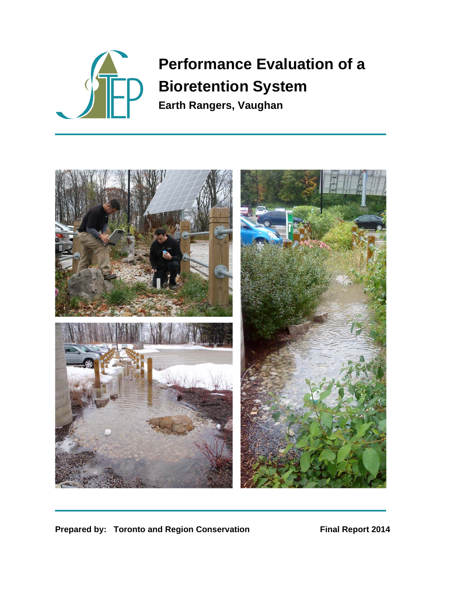

# **Performance Evaluation of a Bioretention System**

**Earth Rangers, Vaughan** 



**Prepared by: Toronto and Region Conservation Final Report 2014**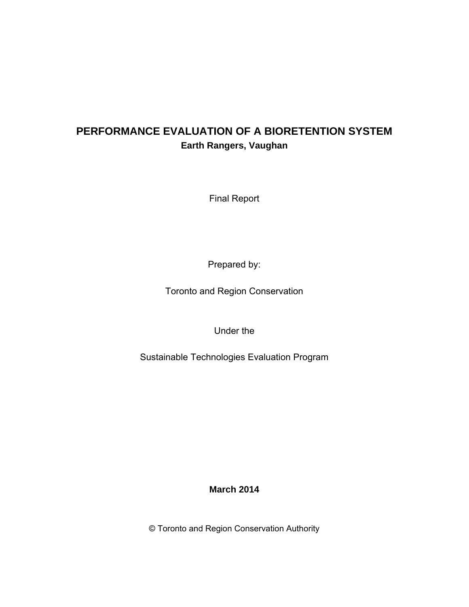## **PERFORMANCE EVALUATION OF A BIORETENTION SYSTEM Earth Rangers, Vaughan**

Final Report

Prepared by:

Toronto and Region Conservation

Under the

Sustainable Technologies Evaluation Program

**March 2014** 

© Toronto and Region Conservation Authority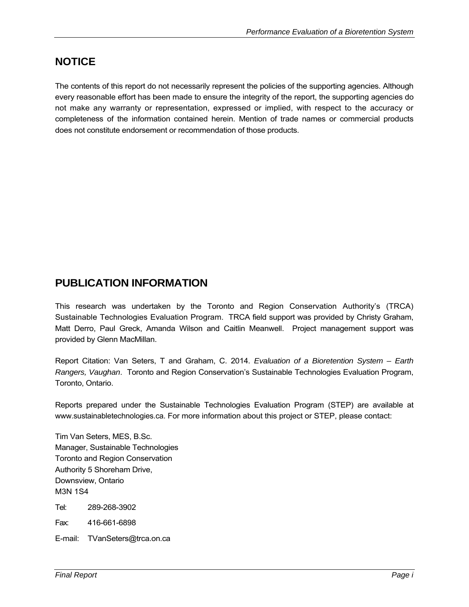## **NOTICE**

The contents of this report do not necessarily represent the policies of the supporting agencies. Although every reasonable effort has been made to ensure the integrity of the report, the supporting agencies do not make any warranty or representation, expressed or implied, with respect to the accuracy or completeness of the information contained herein. Mention of trade names or commercial products does not constitute endorsement or recommendation of those products.

## **PUBLICATION INFORMATION**

This research was undertaken by the Toronto and Region Conservation Authority's (TRCA) Sustainable Technologies Evaluation Program. TRCA field support was provided by Christy Graham, Matt Derro, Paul Greck, Amanda Wilson and Caitlin Meanwell. Project management support was provided by Glenn MacMillan.

Report Citation: Van Seters, T and Graham, C. 2014. *Evaluation of a Bioretention System – Earth Rangers, Vaughan*. Toronto and Region Conservation's Sustainable Technologies Evaluation Program, Toronto, Ontario.

Reports prepared under the Sustainable Technologies Evaluation Program (STEP) are available at www.sustainabletechnologies.ca. For more information about this project or STEP, please contact:

Tim Van Seters, MES, B.Sc. Manager, Sustainable Technologies Toronto and Region Conservation Authority 5 Shoreham Drive, Downsview, Ontario M3N 1S4

Tel: 289-268-3902

Fax: 416-661-6898

E-mail: TVanSeters@trca.on.ca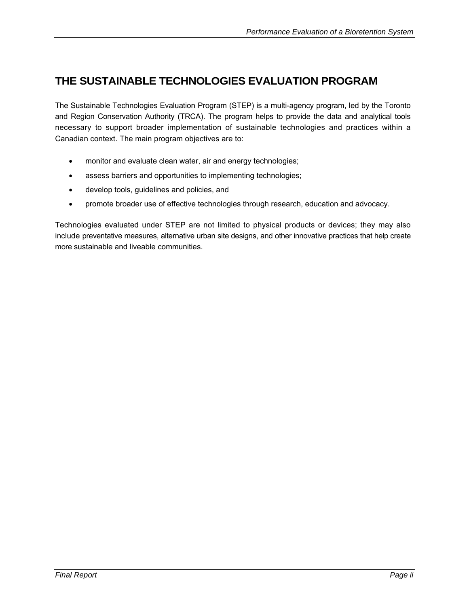## **THE SUSTAINABLE TECHNOLOGIES EVALUATION PROGRAM**

The Sustainable Technologies Evaluation Program (STEP) is a multi-agency program, led by the Toronto and Region Conservation Authority (TRCA). The program helps to provide the data and analytical tools necessary to support broader implementation of sustainable technologies and practices within a Canadian context. The main program objectives are to:

- monitor and evaluate clean water, air and energy technologies;
- assess barriers and opportunities to implementing technologies;
- develop tools, guidelines and policies, and
- promote broader use of effective technologies through research, education and advocacy.

Technologies evaluated under STEP are not limited to physical products or devices; they may also include preventative measures, alternative urban site designs, and other innovative practices that help create more sustainable and liveable communities.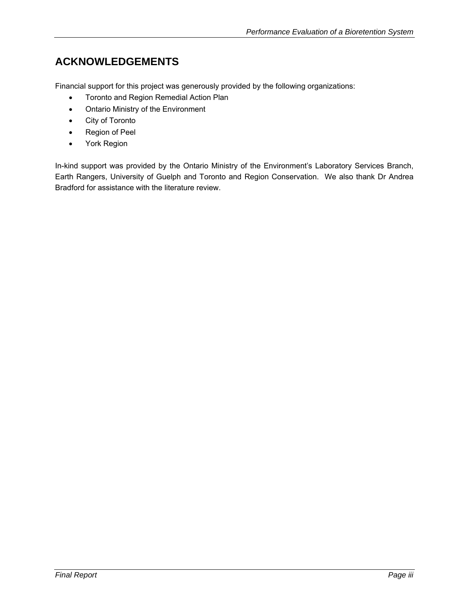# **ACKNOWLEDGEMENTS**

Financial support for this project was generously provided by the following organizations:

- **•** Toronto and Region Remedial Action Plan
- Ontario Ministry of the Environment
- City of Toronto
- Region of Peel
- York Region

In-kind support was provided by the Ontario Ministry of the Environment's Laboratory Services Branch, Earth Rangers, University of Guelph and Toronto and Region Conservation. We also thank Dr Andrea Bradford for assistance with the literature review.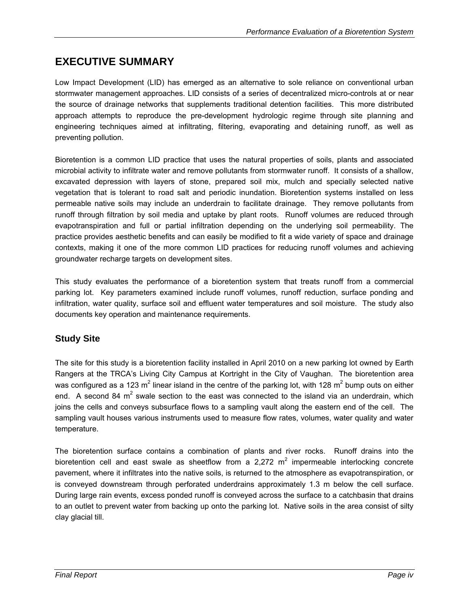## **EXECUTIVE SUMMARY**

Low Impact Development (LID) has emerged as an alternative to sole reliance on conventional urban stormwater management approaches. LID consists of a series of decentralized micro-controls at or near the source of drainage networks that supplements traditional detention facilities. This more distributed approach attempts to reproduce the pre-development hydrologic regime through site planning and engineering techniques aimed at infiltrating, filtering, evaporating and detaining runoff, as well as preventing pollution.

Bioretention is a common LID practice that uses the natural properties of soils, plants and associated microbial activity to infiltrate water and remove pollutants from stormwater runoff. It consists of a shallow, excavated depression with layers of stone, prepared soil mix, mulch and specially selected native vegetation that is tolerant to road salt and periodic inundation. Bioretention systems installed on less permeable native soils may include an underdrain to facilitate drainage. They remove pollutants from runoff through filtration by soil media and uptake by plant roots. Runoff volumes are reduced through evapotranspiration and full or partial infiltration depending on the underlying soil permeability. The practice provides aesthetic benefits and can easily be modified to fit a wide variety of space and drainage contexts, making it one of the more common LID practices for reducing runoff volumes and achieving groundwater recharge targets on development sites.

This study evaluates the performance of a bioretention system that treats runoff from a commercial parking lot. Key parameters examined include runoff volumes, runoff reduction, surface ponding and infiltration, water quality, surface soil and effluent water temperatures and soil moisture. The study also documents key operation and maintenance requirements.

## **Study Site**

The site for this study is a bioretention facility installed in April 2010 on a new parking lot owned by Earth Rangers at the TRCA's Living City Campus at Kortright in the City of Vaughan. The bioretention area was configured as a 123 m<sup>2</sup> linear island in the centre of the parking lot, with 128 m<sup>2</sup> bump outs on either end. A second 84 m<sup>2</sup> swale section to the east was connected to the island via an underdrain, which joins the cells and conveys subsurface flows to a sampling vault along the eastern end of the cell. The sampling vault houses various instruments used to measure flow rates, volumes, water quality and water temperature.

The bioretention surface contains a combination of plants and river rocks. Runoff drains into the bioretention cell and east swale as sheetflow from a 2,272  $m^2$  impermeable interlocking concrete pavement, where it infiltrates into the native soils, is returned to the atmosphere as evapotranspiration, or is conveyed downstream through perforated underdrains approximately 1.3 m below the cell surface. During large rain events, excess ponded runoff is conveyed across the surface to a catchbasin that drains to an outlet to prevent water from backing up onto the parking lot. Native soils in the area consist of silty clay glacial till.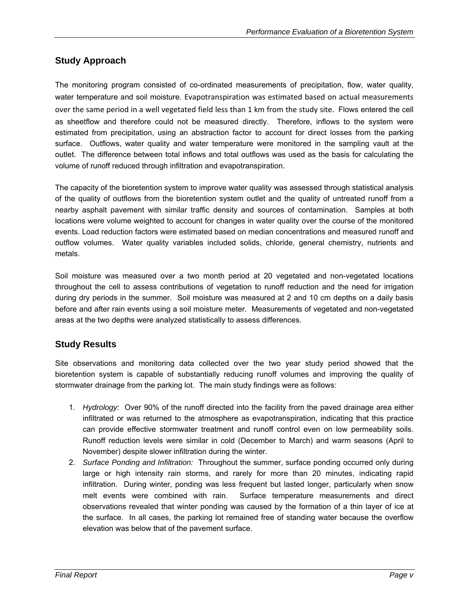### **Study Approach**

The monitoring program consisted of co-ordinated measurements of precipitation, flow, water quality, water temperature and soil moisture. Evapotranspiration was estimated based on actual measurements over the same period in a well vegetated field less than 1 km from the study site. Flows entered the cell as sheetflow and therefore could not be measured directly. Therefore, inflows to the system were estimated from precipitation, using an abstraction factor to account for direct losses from the parking surface. Outflows, water quality and water temperature were monitored in the sampling vault at the outlet. The difference between total inflows and total outflows was used as the basis for calculating the volume of runoff reduced through infiltration and evapotranspiration.

The capacity of the bioretention system to improve water quality was assessed through statistical analysis of the quality of outflows from the bioretention system outlet and the quality of untreated runoff from a nearby asphalt pavement with similar traffic density and sources of contamination. Samples at both locations were volume weighted to account for changes in water quality over the course of the monitored events. Load reduction factors were estimated based on median concentrations and measured runoff and outflow volumes. Water quality variables included solids, chloride, general chemistry, nutrients and metals.

Soil moisture was measured over a two month period at 20 vegetated and non-vegetated locations throughout the cell to assess contributions of vegetation to runoff reduction and the need for irrigation during dry periods in the summer. Soil moisture was measured at 2 and 10 cm depths on a daily basis before and after rain events using a soil moisture meter. Measurements of vegetated and non-vegetated areas at the two depths were analyzed statistically to assess differences.

## **Study Results**

Site observations and monitoring data collected over the two year study period showed that the bioretention system is capable of substantially reducing runoff volumes and improving the quality of stormwater drainage from the parking lot. The main study findings were as follows:

- 1. *Hydrology:* Over 90% of the runoff directed into the facility from the paved drainage area either infiltrated or was returned to the atmosphere as evapotranspiration, indicating that this practice can provide effective stormwater treatment and runoff control even on low permeability soils. Runoff reduction levels were similar in cold (December to March) and warm seasons (April to November) despite slower infiltration during the winter.
- 2. *Surface Ponding and Infiltration:* Throughout the summer, surface ponding occurred only during large or high intensity rain storms, and rarely for more than 20 minutes, indicating rapid infiltration. During winter, ponding was less frequent but lasted longer, particularly when snow melt events were combined with rain. Surface temperature measurements and direct observations revealed that winter ponding was caused by the formation of a thin layer of ice at the surface. In all cases, the parking lot remained free of standing water because the overflow elevation was below that of the pavement surface.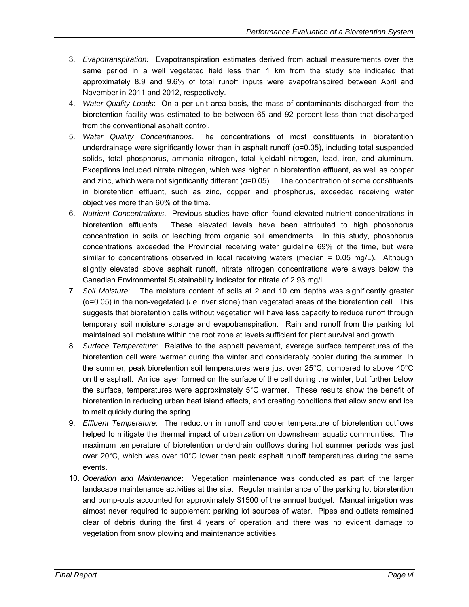- 3. *Evapotranspiration:* Evapotranspiration estimates derived from actual measurements over the same period in a well vegetated field less than 1 km from the study site indicated that approximately 8.9 and 9.6% of total runoff inputs were evapotranspired between April and November in 2011 and 2012, respectively.
- 4. *Water Quality Loads*: On a per unit area basis, the mass of contaminants discharged from the bioretention facility was estimated to be between 65 and 92 percent less than that discharged from the conventional asphalt control.
- 5. *Water Quality Concentrations*. The concentrations of most constituents in bioretention underdrainage were significantly lower than in asphalt runoff  $(\alpha=0.05)$ , including total suspended solids, total phosphorus, ammonia nitrogen, total kjeldahl nitrogen, lead, iron, and aluminum. Exceptions included nitrate nitrogen, which was higher in bioretention effluent, as well as copper and zinc, which were not significantly different ( $\alpha$ =0.05). The concentration of some constituents in bioretention effluent, such as zinc, copper and phosphorus, exceeded receiving water objectives more than 60% of the time.
- 6. *Nutrient Concentrations*. Previous studies have often found elevated nutrient concentrations in bioretention effluents. These elevated levels have been attributed to high phosphorus concentration in soils or leaching from organic soil amendments. In this study, phosphorus concentrations exceeded the Provincial receiving water guideline 69% of the time, but were similar to concentrations observed in local receiving waters (median = 0.05 mg/L). Although slightly elevated above asphalt runoff, nitrate nitrogen concentrations were always below the Canadian Environmental Sustainability Indicator for nitrate of 2.93 mg/L.
- 7. *Soil Moisture*: The moisture content of soils at 2 and 10 cm depths was significantly greater (α=0.05) in the non-vegetated (*i.e.* river stone) than vegetated areas of the bioretention cell. This suggests that bioretention cells without vegetation will have less capacity to reduce runoff through temporary soil moisture storage and evapotranspiration. Rain and runoff from the parking lot maintained soil moisture within the root zone at levels sufficient for plant survival and growth.
- 8. *Surface Temperature*: Relative to the asphalt pavement, average surface temperatures of the bioretention cell were warmer during the winter and considerably cooler during the summer. In the summer, peak bioretention soil temperatures were just over 25°C, compared to above 40°C on the asphalt. An ice layer formed on the surface of the cell during the winter, but further below the surface, temperatures were approximately 5°C warmer. These results show the benefit of bioretention in reducing urban heat island effects, and creating conditions that allow snow and ice to melt quickly during the spring.
- 9. *Effluent Temperature*: The reduction in runoff and cooler temperature of bioretention outflows helped to mitigate the thermal impact of urbanization on downstream aquatic communities. The maximum temperature of bioretention underdrain outflows during hot summer periods was just over 20°C, which was over 10°C lower than peak asphalt runoff temperatures during the same events.
- 10. *Operation and Maintenance*: Vegetation maintenance was conducted as part of the larger landscape maintenance activities at the site. Regular maintenance of the parking lot bioretention and bump-outs accounted for approximately \$1500 of the annual budget. Manual irrigation was almost never required to supplement parking lot sources of water. Pipes and outlets remained clear of debris during the first 4 years of operation and there was no evident damage to vegetation from snow plowing and maintenance activities.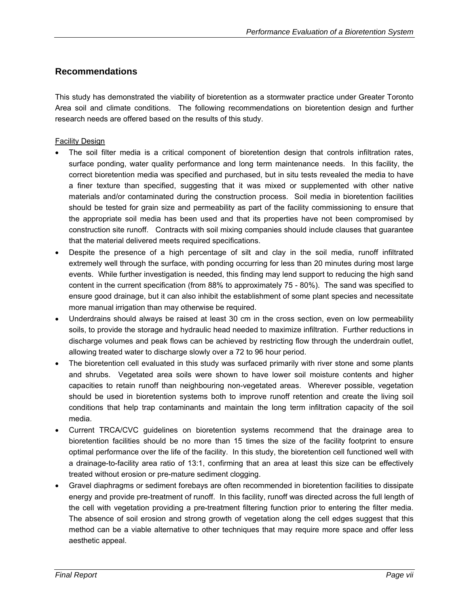#### **Recommendations**

This study has demonstrated the viability of bioretention as a stormwater practice under Greater Toronto Area soil and climate conditions. The following recommendations on bioretention design and further research needs are offered based on the results of this study.

#### Facility Design

- The soil filter media is a critical component of bioretention design that controls infiltration rates, surface ponding, water quality performance and long term maintenance needs. In this facility, the correct bioretention media was specified and purchased, but in situ tests revealed the media to have a finer texture than specified, suggesting that it was mixed or supplemented with other native materials and/or contaminated during the construction process. Soil media in bioretention facilities should be tested for grain size and permeability as part of the facility commissioning to ensure that the appropriate soil media has been used and that its properties have not been compromised by construction site runoff. Contracts with soil mixing companies should include clauses that guarantee that the material delivered meets required specifications.
- Despite the presence of a high percentage of silt and clay in the soil media, runoff infiltrated extremely well through the surface, with ponding occurring for less than 20 minutes during most large events. While further investigation is needed, this finding may lend support to reducing the high sand content in the current specification (from 88% to approximately 75 - 80%). The sand was specified to ensure good drainage, but it can also inhibit the establishment of some plant species and necessitate more manual irrigation than may otherwise be required.
- Underdrains should always be raised at least 30 cm in the cross section, even on low permeability soils, to provide the storage and hydraulic head needed to maximize infiltration. Further reductions in discharge volumes and peak flows can be achieved by restricting flow through the underdrain outlet, allowing treated water to discharge slowly over a 72 to 96 hour period.
- The bioretention cell evaluated in this study was surfaced primarily with river stone and some plants and shrubs. Vegetated area soils were shown to have lower soil moisture contents and higher capacities to retain runoff than neighbouring non-vegetated areas. Wherever possible, vegetation should be used in bioretention systems both to improve runoff retention and create the living soil conditions that help trap contaminants and maintain the long term infiltration capacity of the soil media.
- Current TRCA/CVC guidelines on bioretention systems recommend that the drainage area to bioretention facilities should be no more than 15 times the size of the facility footprint to ensure optimal performance over the life of the facility. In this study, the bioretention cell functioned well with a drainage-to-facility area ratio of 13:1, confirming that an area at least this size can be effectively treated without erosion or pre-mature sediment clogging.
- Gravel diaphragms or sediment forebays are often recommended in bioretention facilities to dissipate energy and provide pre-treatment of runoff. In this facility, runoff was directed across the full length of the cell with vegetation providing a pre-treatment filtering function prior to entering the filter media. The absence of soil erosion and strong growth of vegetation along the cell edges suggest that this method can be a viable alternative to other techniques that may require more space and offer less aesthetic appeal.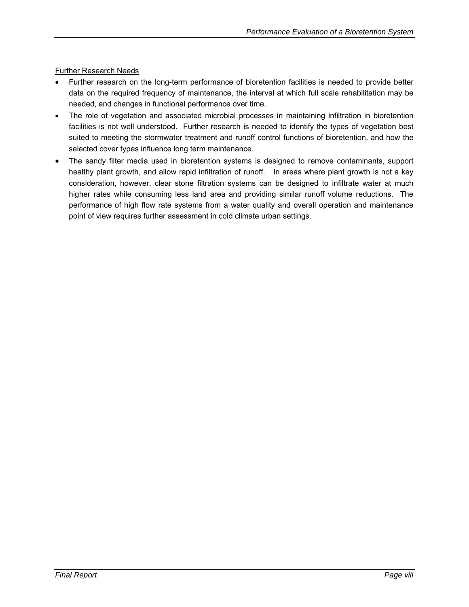Further Research Needs

- Further research on the long-term performance of bioretention facilities is needed to provide better data on the required frequency of maintenance, the interval at which full scale rehabilitation may be needed, and changes in functional performance over time.
- The role of vegetation and associated microbial processes in maintaining infiltration in bioretention facilities is not well understood. Further research is needed to identify the types of vegetation best suited to meeting the stormwater treatment and runoff control functions of bioretention, and how the selected cover types influence long term maintenance.
- The sandy filter media used in bioretention systems is designed to remove contaminants, support healthy plant growth, and allow rapid infiltration of runoff. In areas where plant growth is not a key consideration, however, clear stone filtration systems can be designed to infiltrate water at much higher rates while consuming less land area and providing similar runoff volume reductions. The performance of high flow rate systems from a water quality and overall operation and maintenance point of view requires further assessment in cold climate urban settings.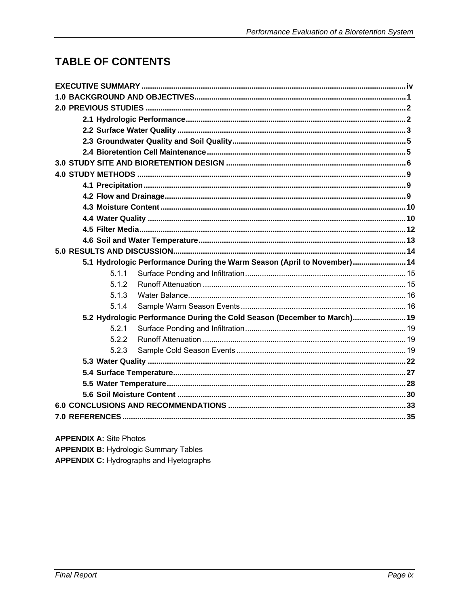# **TABLE OF CONTENTS**

|  |       | 5.1 Hydrologic Performance During the Warm Season (April to November) 14 |  |  |  |
|--|-------|--------------------------------------------------------------------------|--|--|--|
|  | 5.1.1 |                                                                          |  |  |  |
|  | 5.1.2 |                                                                          |  |  |  |
|  | 5.1.3 |                                                                          |  |  |  |
|  | 5.1.4 |                                                                          |  |  |  |
|  |       | 5.2 Hydrologic Performance During the Cold Season (December to March) 19 |  |  |  |
|  | 5.2.1 |                                                                          |  |  |  |
|  | 5.2.2 |                                                                          |  |  |  |
|  | 5.2.3 |                                                                          |  |  |  |
|  |       |                                                                          |  |  |  |
|  |       |                                                                          |  |  |  |
|  |       |                                                                          |  |  |  |
|  |       |                                                                          |  |  |  |
|  |       |                                                                          |  |  |  |
|  |       |                                                                          |  |  |  |
|  |       |                                                                          |  |  |  |

**APPENDIX A: Site Photos APPENDIX B: Hydrologic Summary Tables** 

**APPENDIX C:** Hydrographs and Hyetographs